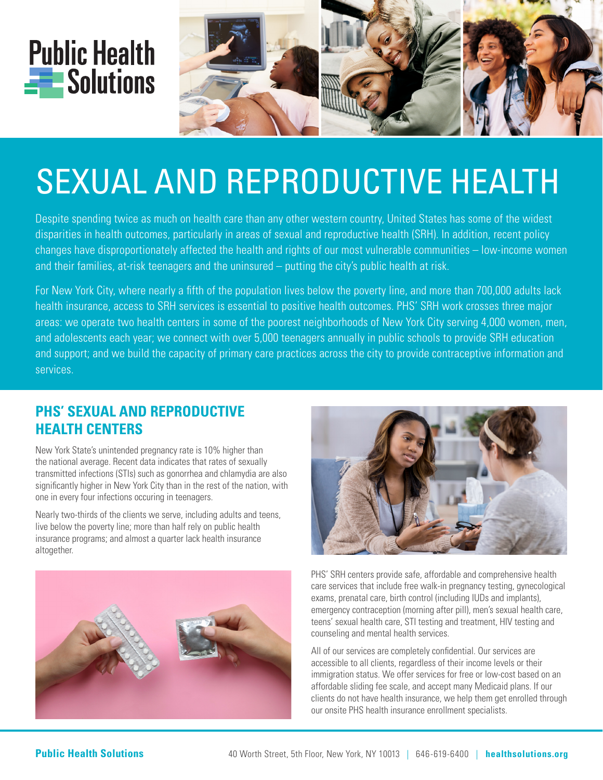



# SEXUAL AND REPRODUCTIVE HEALTH

Despite spending twice as much on health care than any other western country, United States has some of the widest disparities in health outcomes, particularly in areas of sexual and reproductive health (SRH). In addition, recent policy changes have disproportionately affected the health and rights of our most vulnerable communities – low-income women and their families, at-risk teenagers and the uninsured – putting the city's public health at risk.

For New York City, where nearly a fifth of the population lives below the poverty line, and more than 700,000 adults lack health insurance, access to SRH services is essential to positive health outcomes. PHS' SRH work crosses three major areas: we operate two health centers in some of the poorest neighborhoods of New York City serving 4,000 women, men, and adolescents each year; we connect with over 5,000 teenagers annually in public schools to provide SRH education and support; and we build the capacity of primary care practices across the city to provide contraceptive information and services.

# **PHS' SEXUAL AND REPRODUCTIVE HEALTH CENTERS**

New York State's unintended pregnancy rate is 10% higher than the national average. Recent data indicates that rates of sexually transmitted infections (STIs) such as gonorrhea and chlamydia are also significantly higher in New York City than in the rest of the nation, with one in every four infections occuring in teenagers.

Nearly two-thirds of the clients we serve, including adults and teens, live below the poverty line; more than half rely on public health insurance programs; and almost a quarter lack health insurance altogether.





PHS' SRH centers provide safe, affordable and comprehensive health care services that include free walk-in pregnancy testing, gynecological exams, prenatal care, birth control (including IUDs and implants), emergency contraception (morning after pill), men's sexual health care, teens' sexual health care, STI testing and treatment, HIV testing and counseling and mental health services.

All of our services are completely confidential. Our services are accessible to all clients, regardless of their income levels or their immigration status. We offer services for free or low-cost based on an affordable sliding fee scale, and accept many Medicaid plans. If our clients do not have health insurance, we help them get enrolled through our onsite PHS health insurance enrollment specialists.